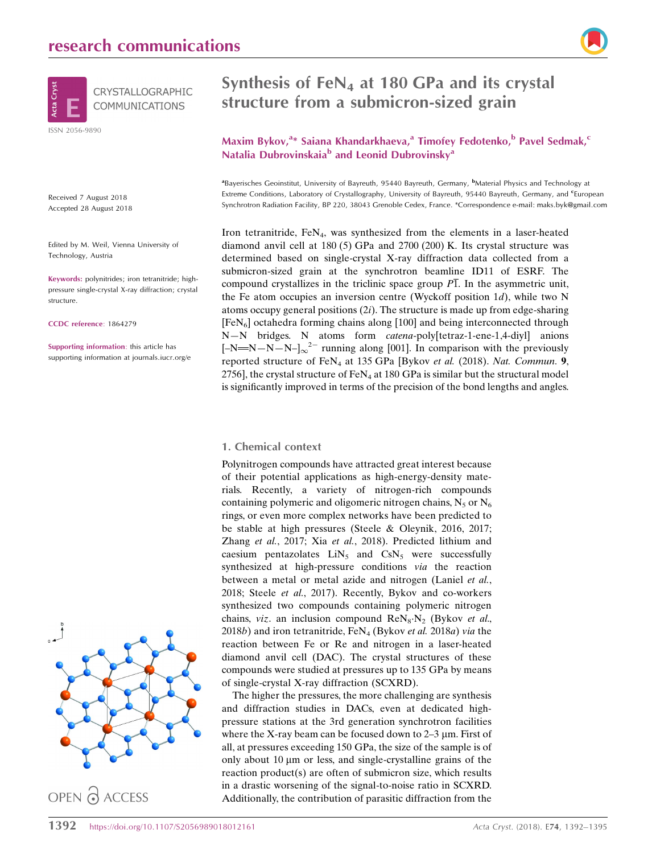

Received 7 August 2018 Accepted 28 August 2018

Edited by M. Weil, Vienna University of Technology, Austria

Keywords: polynitrides; iron tetranitride; highpressure single-crystal X-ray diffraction; crystal structure.

CCDC reference: 1864279

Supporting information: this article has supporting information at journals.iucr.org/e



OPEN PACCESS

# Synthesis of  $FeN<sub>4</sub>$  at 180 GPa and its crystal structure from a submicron-sized grain

# Maxim Bykov,<sup>a</sup>\* Saiana Khandarkhaeva,<sup>a</sup> Timofey Fedotenko,<sup>b</sup> Pavel Sedmak,<sup>c</sup> Natalia Dubrovinskaia<sup>b</sup> and Leonid Dubrovinsky<sup>a</sup>

<sup>a</sup>Bayerisches Geoinstitut, University of Bayreuth, 95440 Bayreuth, Germany, <sup>b</sup>Material Physics and Technology at Extreme Conditions, Laboratory of Crystallography, University of Bayreuth, 95440 Bayreuth, Germany, and *'European* Synchrotron Radiation Facility, BP 220, 38043 Grenoble Cedex, France. \*Correspondence e-mail: maks.byk@gmail.com

Iron tetranitride,  $FeN<sub>4</sub>$ , was synthesized from the elements in a laser-heated diamond anvil cell at 180 (5) GPa and 2700 (200) K. Its crystal structure was determined based on single-crystal X-ray diffraction data collected from a submicron-sized grain at the synchrotron beamline ID11 of ESRF. The compound crystallizes in the triclinic space group  $\overline{P1}$ . In the asymmetric unit, the Fe atom occupies an inversion centre (Wyckoff position 1d), while two N atoms occupy general positions  $(2i)$ . The structure is made up from edge-sharing [FeN<sub>6</sub>] octahedra forming chains along [100] and being interconnected through N—N bridges. N atoms form catena-poly[tetraz-1-ene-1,4-diyl] anions  $[-N-N-N-]<sub>\infty</sub><sup>2-</sup>$  running along [001]. In comparison with the previously reported structure of  $FeN_4$  at 135 GPa [Bykov et al. (2018). Nat. Commun. 9, 2756], the crystal structure of  $FeN<sub>4</sub>$  at 180 GPa is similar but the structural model is significantly improved in terms of the precision of the bond lengths and angles.

#### 1. Chemical context

Polynitrogen compounds have attracted great interest because of their potential applications as high-energy-density materials. Recently, a variety of nitrogen-rich compounds containing polymeric and oligomeric nitrogen chains,  $N_5$  or  $N_6$ rings, or even more complex networks have been predicted to be stable at high pressures (Steele & Oleynik, 2016, 2017; Zhang et al., 2017; Xia et al., 2018). Predicted lithium and caesium pentazolates  $\text{LiN}_5$  and  $\text{CsN}_5$  were successfully synthesized at high-pressure conditions via the reaction between a metal or metal azide and nitrogen (Laniel et al., 2018; Steele et al., 2017). Recently, Bykov and co-workers synthesized two compounds containing polymeric nitrogen chains, viz. an inclusion compound  $\text{Re}N_8 \cdot N_2$  (Bykov et al., 2018b) and iron tetranitride,  $FeN<sub>4</sub>$  (Bykov *et al.* 2018*a*) via the reaction between Fe or Re and nitrogen in a laser-heated diamond anvil cell (DAC). The crystal structures of these compounds were studied at pressures up to 135 GPa by means of single-crystal X-ray diffraction (SCXRD).

The higher the pressures, the more challenging are synthesis and diffraction studies in DACs, even at dedicated highpressure stations at the 3rd generation synchrotron facilities where the X-ray beam can be focused down to  $2-3 \mu m$ . First of all, at pressures exceeding 150 GPa, the size of the sample is of only about  $10 \mu m$  or less, and single-crystalline grains of the reaction product(s) are often of submicron size, which results in a drastic worsening of the signal-to-noise ratio in SCXRD. Additionally, the contribution of parasitic diffraction from the

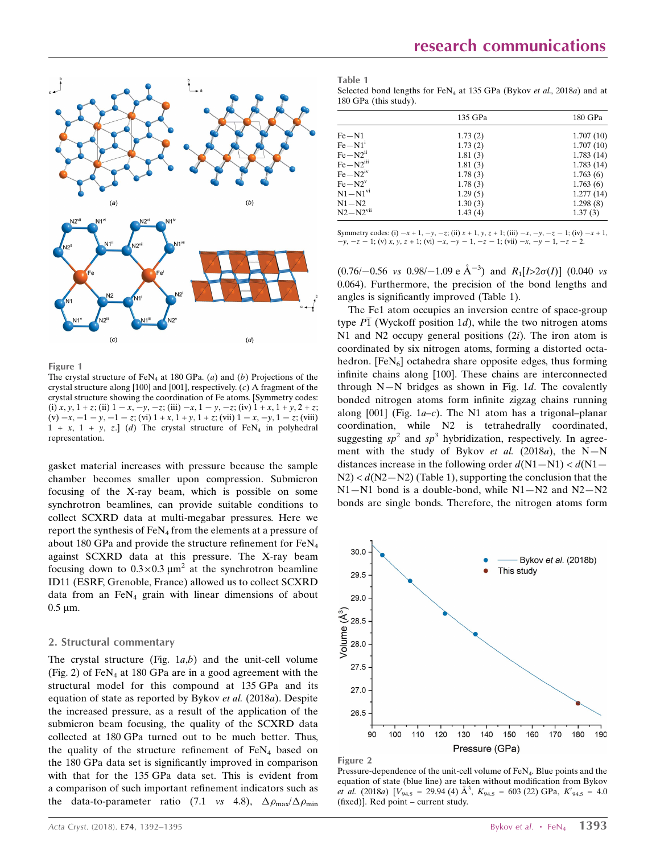

Figure 1

The crystal structure of  $FeN<sub>4</sub>$  at 180 GPa. (a) and (b) Projections of the crystal structure along [100] and [001], respectively.  $(c)$  A fragment of the crystal structure showing the coordination of Fe atoms. [Symmetry codes: (i) x, y, 1 + z; (ii)  $1 - x$ ,  $-y$ ,  $-z$ ; (iii)  $-x$ ,  $1 - y$ ,  $-z$ ; (iv)  $1 + x$ ,  $1 + y$ ,  $2 + z$ ;  $(v) - x$ ,  $-1 - y$ ,  $-1 - z$ ; (vi)  $1 + x$ ,  $1 + y$ ,  $1 + z$ ; (vii)  $1 - x$ ,  $-y$ ,  $1 - z$ ; (viii)  $1 + x$ ,  $1 + y$ ,  $z$ .] (d) The crystal structure of FeN<sub>4</sub> in polyhedral representation.

gasket material increases with pressure because the sample chamber becomes smaller upon compression. Submicron focusing of the X-ray beam, which is possible on some synchrotron beamlines, can provide suitable conditions to collect SCXRD data at multi-megabar pressures. Here we report the synthesis of  $FeN<sub>4</sub>$  from the elements at a pressure of about 180 GPa and provide the structure refinement for  $FeN<sub>4</sub>$ against SCXRD data at this pressure. The X-ray beam focusing down to  $0.3 \times 0.3 \mu m^2$  at the synchrotron beamline ID11 (ESRF, Grenoble, France) allowed us to collect SCXRD data from an  $FeN<sub>4</sub>$  grain with linear dimensions of about  $0.5 \mu m$ .

#### 2. Structural commentary

The crystal structure (Fig.  $1a,b$ ) and the unit-cell volume (Fig. 2) of  $FeN<sub>4</sub>$  at 180 GPa are in a good agreement with the structural model for this compound at 135 GPa and its equation of state as reported by Bykov et al. (2018a). Despite the increased pressure, as a result of the application of the submicron beam focusing, the quality of the SCXRD data collected at 180 GPa turned out to be much better. Thus, the quality of the structure refinement of  $FeN<sub>4</sub>$  based on the 180 GPa data set is significantly improved in comparison with that for the 135 GPa data set. This is evident from a comparison of such important refinement indicators such as the data-to-parameter ratio (7.1 *vs* 4.8),  $\Delta \rho_{\text{max}}/\Delta \rho_{\text{min}}$ 

| Selected bond lengths for $FeN_4$ at 135 GPa (Bykov <i>et al.</i> , 2018 <i>a</i> ) and at |  |  |  |  |
|--------------------------------------------------------------------------------------------|--|--|--|--|
| 180 GPa (this study).                                                                      |  |  |  |  |

|                          | 135 GPa | 180 GPa   |
|--------------------------|---------|-----------|
| $Fe - N1$                | 1.73(2) | 1.707(10) |
| $Fe-N11$                 | 1.73(2) | 1.707(10) |
| $Fe - N2$ <sup>ii</sup>  | 1.81(3) | 1.783(14) |
| $Fe - N2$ <sup>iii</sup> | 1.81(3) | 1.783(14) |
| $Fe - N2iv$              | 1.78(3) | 1.763(6)  |
| $Fe - N2v$               | 1.78(3) | 1.763(6)  |
| $N1 - N1$ <sup>vi</sup>  | 1.29(5) | 1.277(14) |
| $N1-N2$                  | 1.30(3) | 1.298(8)  |
| $N2-N2$ <sup>vii</sup>   | 1.43(4) | 1.37(3)   |

Symmetry codes: (i)  $-x + 1$ ,  $-y$ ,  $-z$ ; (ii)  $x + 1$ ,  $y$ ,  $z + 1$ ; (iii)  $-x$ ,  $-y$ ,  $-z - 1$ ; (iv)  $-x + 1$ ,  $-y, -z - 1$ ; (v) x, y, z + 1; (vi)  $-x, -y - 1, -z - 1$ ; (vii)  $-x, -y - 1, -z - 2$ .

 $(0.76/-0.56 \text{ vs } 0.98/-1.09 \text{ e} \text{ Å}^{-3})$  and  $R_1[I>2\sigma(I)]$   $(0.040 \text{ vs } 0.98/-1.09 \text{ e} \text{ Å}^{-3})$ 0.064). Furthermore, the precision of the bond lengths and angles is significantly improved (Table 1).

The Fe1 atom occupies an inversion centre of space-group type  $\overline{P1}$  (Wyckoff position 1*d*), while the two nitrogen atoms N1 and N2 occupy general positions  $(2i)$ . The iron atom is coordinated by six nitrogen atoms, forming a distorted octahedron.  $[FeN<sub>6</sub>]$  octahedra share opposite edges, thus forming infinite chains along [100]. These chains are interconnected through  $N-N$  bridges as shown in Fig. 1d. The covalently bonded nitrogen atoms form infinite zigzag chains running along  $[001]$  (Fig.  $1a-c$ ). The N1 atom has a trigonal-planar coordination, while N2 is tetrahedrally coordinated, suggesting  $sp^2$  and  $sp^3$  hybridization, respectively. In agreement with the study of Bykov et al. (2018a), the  $N-N$ distances increase in the following order  $d(N1-N1) < d(N1 N2$ ) <  $d(N2-N2)$  (Table 1), supporting the conclusion that the N1—N1 bond is a double-bond, while N1—N2 and N2—N2 bonds are single bonds. Therefore, the nitrogen atoms form



Figure 2

Pressure-dependence of the unit-cell volume of  $FeN<sub>4</sub>$ . Blue points and the equation of state (blue line) are taken without modification from Bykov et al. (2018a)  $[V_{94.5} = 29.94 \text{ (4) } \text{\AA}^3, K_{94.5} = 603 \text{ (22) GPa}, K'_{94.5} = 4.0$ (fixed)]. Red point – current study.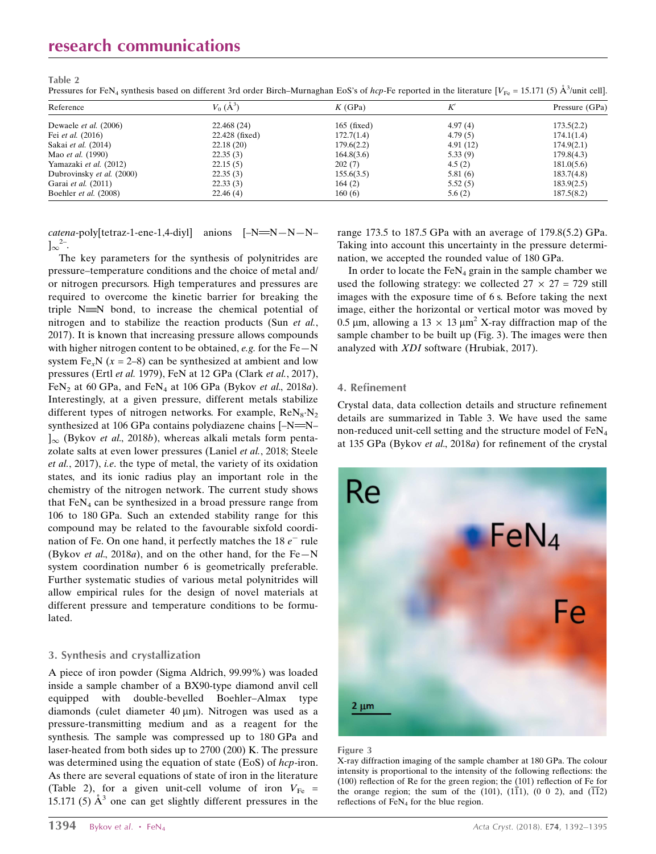Table 2

Pressures for FeN<sub>4</sub> synthesis based on different 3rd order Birch–Murnaghan EoS's of *hcp*-Fe reported in the literature [V<sub>Fe</sub> = 15.171 (5)  $\AA^3$ /unit cell].

| Reference                 | $V_0(\AA^3)$   | K(GPa)        | $K^{\prime}$ | Pressure (GPa) |
|---------------------------|----------------|---------------|--------------|----------------|
| Dewaele et al. (2006)     | 22.468 (24)    | $165$ (fixed) | 4.97(4)      | 173.5(2.2)     |
| Fei et al. (2016)         | 22.428 (fixed) | 172.7(1.4)    | 4.79(5)      | 174.1(1.4)     |
| Sakai et al. (2014)       | 22.18(20)      | 179.6(2.2)    | 4.91(12)     | 174.9(2.1)     |
| Mao <i>et al.</i> (1990)  | 22.35(3)       | 164.8(3.6)    | 5.33(9)      | 179.8(4.3)     |
| Yamazaki et al. (2012)    | 22.15(5)       | 202(7)        | 4.5(2)       | 181.0(5.6)     |
| Dubrovinsky et al. (2000) | 22.35(3)       | 155.6(3.5)    | 5.81(6)      | 183.7(4.8)     |
| Garai et al. (2011)       | 22.33(3)       | 164(2)        | 5.52(5)      | 183.9(2.5)     |
| Boehler et al. (2008)     | 22.46(4)       | 160(6)        | 5.6(2)       | 187.5(8.2)     |

 $\textit{catena-poly}$ [tetraz-1-ene-1,4-diyl] anions  $[-N=N-N-N \int_{\infty}^{2-}$ .

The key parameters for the synthesis of polynitrides are pressure–temperature conditions and the choice of metal and/ or nitrogen precursors. High temperatures and pressures are required to overcome the kinetic barrier for breaking the triple  $N = N$  bond, to increase the chemical potential of nitrogen and to stabilize the reaction products (Sun et al., 2017). It is known that increasing pressure allows compounds with higher nitrogen content to be obtained, *e.g.* for the  $Fe-N$ system Fe<sub>x</sub>N ( $x = 2-8$ ) can be synthesized at ambient and low pressures (Ertl et al. 1979), FeN at 12 GPa (Clark et al., 2017), FeN<sub>2</sub> at 60 GPa, and FeN<sub>4</sub> at 106 GPa (Bykov et al., 2018a). Interestingly, at a given pressure, different metals stabilize different types of nitrogen networks. For example,  $\text{ReN}_8 \cdot \text{N}_2$ synthesized at 106 GPa contains polydiazene chains [-N=N- $\infty$  (Bykov *et al.*, 2018b), whereas alkali metals form pentazolate salts at even lower pressures (Laniel et al., 2018; Steele et al., 2017), i.e. the type of metal, the variety of its oxidation states, and its ionic radius play an important role in the chemistry of the nitrogen network. The current study shows that  $FeN<sub>4</sub>$  can be synthesized in a broad pressure range from 106 to 180 GPa. Such an extended stability range for this compound may be related to the favourable sixfold coordination of Fe. On one hand, it perfectly matches the 18  $e^-$  rule (Bykov *et al.*, 2018*a*), and on the other hand, for the  $Fe-N$ system coordination number 6 is geometrically preferable. Further systematic studies of various metal polynitrides will allow empirical rules for the design of novel materials at different pressure and temperature conditions to be formulated.

## 3. Synthesis and crystallization

A piece of iron powder (Sigma Aldrich, 99.99%) was loaded inside a sample chamber of a BX90-type diamond anvil cell equipped with double-bevelled Boehler–Almax type diamonds (culet diameter  $40 \mu m$ ). Nitrogen was used as a pressure-transmitting medium and as a reagent for the synthesis. The sample was compressed up to 180 GPa and laser-heated from both sides up to 2700 (200) K. The pressure was determined using the equation of state (EoS) of *hcp*-iron. As there are several equations of state of iron in the literature (Table 2), for a given unit-cell volume of iron  $V_{\text{Fe}}$  = 15.171 (5)  $A<sup>3</sup>$  one can get slightly different pressures in the

range 173.5 to 187.5 GPa with an average of 179.8(5.2) GPa. Taking into account this uncertainty in the pressure determination, we accepted the rounded value of 180 GPa.

In order to locate the  $FeN<sub>4</sub>$  grain in the sample chamber we used the following strategy: we collected  $27 \times 27 = 729$  still images with the exposure time of 6 s. Before taking the next image, either the horizontal or vertical motor was moved by 0.5 µm, allowing a  $13 \times 13$  µm<sup>2</sup> X-ray diffraction map of the sample chamber to be built up (Fig. 3). The images were then analyzed with XDI software (Hrubiak, 2017).

#### 4. Refinement

Crystal data, data collection details and structure refinement details are summarized in Table 3. We have used the same non-reduced unit-cell setting and the structure model of FeN4 at 135 GPa (Bykov et al., 2018a) for refinement of the crystal



#### Figure 3

X-ray diffraction imaging of the sample chamber at 180 GPa. The colour intensity is proportional to the intensity of the following reflections: the (100) reflection of Re for the green region; the (101) reflection of Fe for the orange region; the sum of the (101), (1 $\overline{1}1$ ), (0 0 2), and ( $\overline{1}12$ ) reflections of  $FeN<sub>4</sub>$  for the blue region.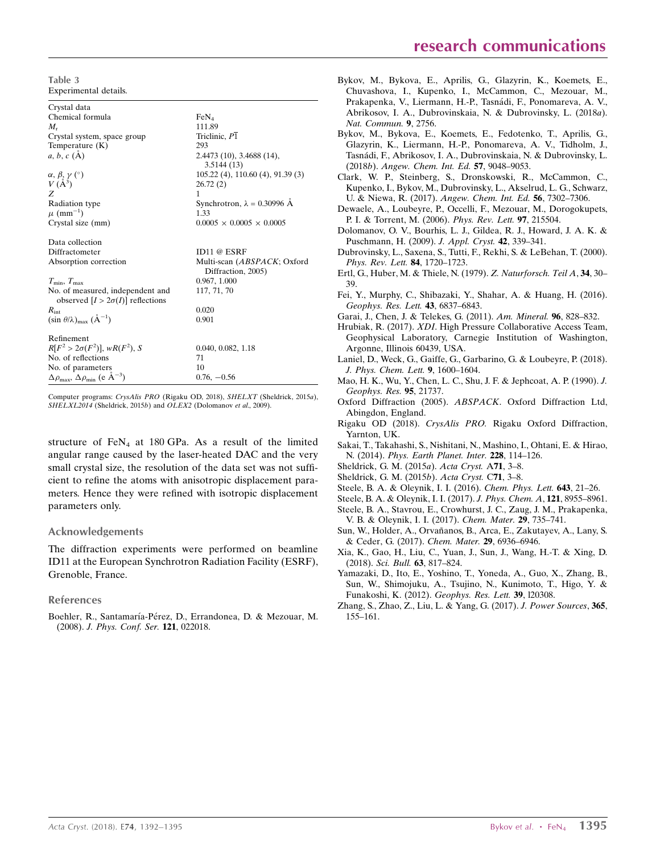Table 3 Experimental details.

| Crystal data                                                               |                                                   |
|----------------------------------------------------------------------------|---------------------------------------------------|
| Chemical formula                                                           | FeN <sub>4</sub>                                  |
| $M_{\rm r}$                                                                | 111.89                                            |
| Crystal system, space group                                                | Triclinic, P1                                     |
| Temperature $(K)$                                                          | 293                                               |
| $a, b, c (\AA)$                                                            | 2.4473(10), 3.4688(14),<br>3.5144(13)             |
|                                                                            | 105.22 (4), 110.60 (4), 91.39 (3)                 |
| $\alpha, \beta, \gamma$ (°)<br>$V(\mathring{A}^3)$                         | 26.72(2)                                          |
| Z                                                                          | 1                                                 |
| Radiation type                                                             | Synchrotron, $\lambda = 0.30996$ A                |
| $\mu$ (mm <sup>-1</sup> )                                                  | 1.33                                              |
| Crystal size (mm)                                                          | $0.0005 \times 0.0005 \times 0.0005$              |
|                                                                            |                                                   |
| Data collection                                                            |                                                   |
| Diffractometer                                                             | ID11 @ ESRF                                       |
| Absorption correction                                                      | Multi-scan (ABSPACK; Oxford<br>Diffraction, 2005) |
| $T_{\rm min}, T_{\rm max}$                                                 | 0.967, 1.000                                      |
| No. of measured, independent and                                           | 117, 71, 70                                       |
| observed $[I > 2\sigma(I)]$ reflections                                    |                                                   |
| $R_{\rm int}$                                                              | 0.020                                             |
| $(\sin \theta/\lambda)_{\text{max}}$ $(\AA^{-1})$                          | 0.901                                             |
|                                                                            |                                                   |
| Refinement                                                                 |                                                   |
| $R[F^2 > 2\sigma(F^2)]$ , w $R(F^2)$ , S                                   | 0.040, 0.082, 1.18                                |
| No. of reflections                                                         | 71                                                |
| No. of parameters                                                          | 10                                                |
| $\Delta\rho_{\text{max}}$ , $\Delta\rho_{\text{min}}$ (e $\rm{\AA}^{-3}$ ) | $0.76, -0.56$                                     |

Computer programs: CrysAlis PRO (Rigaku OD, 2018), SHELXT (Sheldrick, 2015a), SHELXL2014 (Sheldrick, 2015b) and OLEX2 (Dolomanov et al., 2009).

structure of  $FeN<sub>4</sub>$  at 180 GPa. As a result of the limited angular range caused by the laser-heated DAC and the very small crystal size, the resolution of the data set was not sufficient to refine the atoms with anisotropic displacement parameters. Hence they were refined with isotropic displacement parameters only.

#### Acknowledgements

The diffraction experiments were performed on beamline ID11 at the European Synchrotron Radiation Facility (ESRF), Grenoble, France.

#### References

Boehler, R., Santamaría-Pérez, D., Errandonea, D. & Mezouar, M. (2008). [J. Phys. Conf. Ser.](http://scripts.iucr.org/cgi-bin/cr.cgi?rm=pdfbb&cnor=wm5459&bbid=BB1) 121, 022018.

- [Bykov, M., Bykova, E., Aprilis, G., Glazyrin, K., Koemets, E.,](http://scripts.iucr.org/cgi-bin/cr.cgi?rm=pdfbb&cnor=wm5459&bbid=BB2) [Chuvashova, I., Kupenko, I., McCammon, C., Mezouar, M.,](http://scripts.iucr.org/cgi-bin/cr.cgi?rm=pdfbb&cnor=wm5459&bbid=BB2) Prakapenka, V., Liermann, H.-P., Tasnádi, F., Ponomareva, A. V., [Abrikosov, I. A., Dubrovinskaia, N. & Dubrovinsky, L. \(2018](http://scripts.iucr.org/cgi-bin/cr.cgi?rm=pdfbb&cnor=wm5459&bbid=BB2)a). [Nat. Commun.](http://scripts.iucr.org/cgi-bin/cr.cgi?rm=pdfbb&cnor=wm5459&bbid=BB2) 9, 2756. [Bykov, M., Bykova, E., Koemets, E., Fedotenko, T., Aprilis, G.,](http://scripts.iucr.org/cgi-bin/cr.cgi?rm=pdfbb&cnor=wm5459&bbid=BB3)
- [Glazyrin, K., Liermann, H.-P., Ponomareva, A. V., Tidholm, J.,](http://scripts.iucr.org/cgi-bin/cr.cgi?rm=pdfbb&cnor=wm5459&bbid=BB3) Tasnádi, F., Abrikosov, I. A., Dubrovinskaia, N. & Dubrovinsky, L. (2018b). [Angew. Chem. Int. Ed.](http://scripts.iucr.org/cgi-bin/cr.cgi?rm=pdfbb&cnor=wm5459&bbid=BB3) 57, 9048–9053.
- [Clark, W. P., Steinberg, S., Dronskowski, R., McCammon, C.,](http://scripts.iucr.org/cgi-bin/cr.cgi?rm=pdfbb&cnor=wm5459&bbid=BB4) [Kupenko, I., Bykov, M., Dubrovinsky, L., Akselrud, L. G., Schwarz,](http://scripts.iucr.org/cgi-bin/cr.cgi?rm=pdfbb&cnor=wm5459&bbid=BB4) [U. & Niewa, R. \(2017\).](http://scripts.iucr.org/cgi-bin/cr.cgi?rm=pdfbb&cnor=wm5459&bbid=BB4) Angew. Chem. Int. Ed. 56, 7302–7306.
- [Dewaele, A., Loubeyre, P., Occelli, F., Mezouar, M., Dorogokupets,](http://scripts.iucr.org/cgi-bin/cr.cgi?rm=pdfbb&cnor=wm5459&bbid=BB5) [P. I. & Torrent, M. \(2006\).](http://scripts.iucr.org/cgi-bin/cr.cgi?rm=pdfbb&cnor=wm5459&bbid=BB5) Phys. Rev. Lett. 97, 215504.
- [Dolomanov, O. V., Bourhis, L. J., Gildea, R. J., Howard, J. A. K. &](http://scripts.iucr.org/cgi-bin/cr.cgi?rm=pdfbb&cnor=wm5459&bbid=BB6) [Puschmann, H. \(2009\).](http://scripts.iucr.org/cgi-bin/cr.cgi?rm=pdfbb&cnor=wm5459&bbid=BB6) J. Appl. Cryst. 42, 339–341.
- [Dubrovinsky, L., Saxena, S., Tutti, F., Rekhi, S. & LeBehan, T. \(2000\).](http://scripts.iucr.org/cgi-bin/cr.cgi?rm=pdfbb&cnor=wm5459&bbid=BB7) [Phys. Rev. Lett.](http://scripts.iucr.org/cgi-bin/cr.cgi?rm=pdfbb&cnor=wm5459&bbid=BB7) 84, 1720–1723.
- [Ertl, G., Huber, M. & Thiele, N. \(1979\).](http://scripts.iucr.org/cgi-bin/cr.cgi?rm=pdfbb&cnor=wm5459&bbid=BB8) Z. Naturforsch. Teil A, 34, 30– [39.](http://scripts.iucr.org/cgi-bin/cr.cgi?rm=pdfbb&cnor=wm5459&bbid=BB8)
- [Fei, Y., Murphy, C., Shibazaki, Y., Shahar, A. & Huang, H. \(2016\).](http://scripts.iucr.org/cgi-bin/cr.cgi?rm=pdfbb&cnor=wm5459&bbid=BB9) [Geophys. Res. Lett.](http://scripts.iucr.org/cgi-bin/cr.cgi?rm=pdfbb&cnor=wm5459&bbid=BB9) 43, 6837–6843.
- [Garai, J., Chen, J. & Telekes, G. \(2011\).](http://scripts.iucr.org/cgi-bin/cr.cgi?rm=pdfbb&cnor=wm5459&bbid=BB10) Am. Mineral. 96, 828–832.
- Hrubiak, R. (2017). XDI[. High Pressure Collaborative Access Team,](http://scripts.iucr.org/cgi-bin/cr.cgi?rm=pdfbb&cnor=wm5459&bbid=BB11) [Geophysical Laboratory, Carnegie Institution of Washington,](http://scripts.iucr.org/cgi-bin/cr.cgi?rm=pdfbb&cnor=wm5459&bbid=BB11) [Argonne, Illinois 60439, USA.](http://scripts.iucr.org/cgi-bin/cr.cgi?rm=pdfbb&cnor=wm5459&bbid=BB11)
- [Laniel, D., Weck, G., Gaiffe, G., Garbarino, G. & Loubeyre, P. \(2018\).](http://scripts.iucr.org/cgi-bin/cr.cgi?rm=pdfbb&cnor=wm5459&bbid=BB12) [J. Phys. Chem. Lett.](http://scripts.iucr.org/cgi-bin/cr.cgi?rm=pdfbb&cnor=wm5459&bbid=BB12) 9, 1600–1604.
- [Mao, H. K., Wu, Y., Chen, L. C., Shu, J. F. & Jephcoat, A. P. \(1990\).](http://scripts.iucr.org/cgi-bin/cr.cgi?rm=pdfbb&cnor=wm5459&bbid=BB13) J. [Geophys. Res.](http://scripts.iucr.org/cgi-bin/cr.cgi?rm=pdfbb&cnor=wm5459&bbid=BB13) 95, 21737.
- [Oxford Diffraction \(2005\).](http://scripts.iucr.org/cgi-bin/cr.cgi?rm=pdfbb&cnor=wm5459&bbid=BB14) ABSPACK. Oxford Diffraction Ltd, [Abingdon, England.](http://scripts.iucr.org/cgi-bin/cr.cgi?rm=pdfbb&cnor=wm5459&bbid=BB14)
- Rigaku OD (2018). CrysAlis PRO. [Rigaku Oxford Diffraction,](http://scripts.iucr.org/cgi-bin/cr.cgi?rm=pdfbb&cnor=wm5459&bbid=BB15) [Yarnton, UK.](http://scripts.iucr.org/cgi-bin/cr.cgi?rm=pdfbb&cnor=wm5459&bbid=BB15)
- [Sakai, T., Takahashi, S., Nishitani, N., Mashino, I., Ohtani, E. & Hirao,](http://scripts.iucr.org/cgi-bin/cr.cgi?rm=pdfbb&cnor=wm5459&bbid=BB16) N. (2014). [Phys. Earth Planet. Inter.](http://scripts.iucr.org/cgi-bin/cr.cgi?rm=pdfbb&cnor=wm5459&bbid=BB16) 228, 114–126.
- [Sheldrick, G. M. \(2015](http://scripts.iucr.org/cgi-bin/cr.cgi?rm=pdfbb&cnor=wm5459&bbid=BB17)a). Acta Cryst. A71, 3–8.
- [Sheldrick, G. M. \(2015](http://scripts.iucr.org/cgi-bin/cr.cgi?rm=pdfbb&cnor=wm5459&bbid=BB18)b). Acta Cryst. C71, 3–8.
- [Steele, B. A. & Oleynik, I. I. \(2016\).](http://scripts.iucr.org/cgi-bin/cr.cgi?rm=pdfbb&cnor=wm5459&bbid=BB19) Chem. Phys. Lett. 643, 21–26.
- [Steele, B. A. & Oleynik, I. I. \(2017\).](http://scripts.iucr.org/cgi-bin/cr.cgi?rm=pdfbb&cnor=wm5459&bbid=BB20) J. Phys. Chem. A, 121, 8955–8961.
- [Steele, B. A., Stavrou, E., Crowhurst, J. C., Zaug, J. M., Prakapenka,](http://scripts.iucr.org/cgi-bin/cr.cgi?rm=pdfbb&cnor=wm5459&bbid=BB21) [V. B. & Oleynik, I. I. \(2017\).](http://scripts.iucr.org/cgi-bin/cr.cgi?rm=pdfbb&cnor=wm5459&bbid=BB21) Chem. Mater. 29, 735–741.
- Sun, W., Holder, A., Orvañ[anos, B., Arca, E., Zakutayev, A., Lany, S.](http://scripts.iucr.org/cgi-bin/cr.cgi?rm=pdfbb&cnor=wm5459&bbid=BB22) [& Ceder, G. \(2017\).](http://scripts.iucr.org/cgi-bin/cr.cgi?rm=pdfbb&cnor=wm5459&bbid=BB22) Chem. Mater. 29, 6936–6946.
- [Xia, K., Gao, H., Liu, C., Yuan, J., Sun, J., Wang, H.-T. & Xing, D.](http://scripts.iucr.org/cgi-bin/cr.cgi?rm=pdfbb&cnor=wm5459&bbid=BB23) (2018). Sci. Bull. 63[, 817–824.](http://scripts.iucr.org/cgi-bin/cr.cgi?rm=pdfbb&cnor=wm5459&bbid=BB23)
- [Yamazaki, D., Ito, E., Yoshino, T., Yoneda, A., Guo, X., Zhang, B.,](http://scripts.iucr.org/cgi-bin/cr.cgi?rm=pdfbb&cnor=wm5459&bbid=BB24) [Sun, W., Shimojuku, A., Tsujino, N., Kunimoto, T., Higo, Y. &](http://scripts.iucr.org/cgi-bin/cr.cgi?rm=pdfbb&cnor=wm5459&bbid=BB24) [Funakoshi, K. \(2012\).](http://scripts.iucr.org/cgi-bin/cr.cgi?rm=pdfbb&cnor=wm5459&bbid=BB24) Geophys. Res. Lett. 39, l20308.
- [Zhang, S., Zhao, Z., Liu, L. & Yang, G. \(2017\).](http://scripts.iucr.org/cgi-bin/cr.cgi?rm=pdfbb&cnor=wm5459&bbid=BB25) J. Power Sources, 365, [155–161.](http://scripts.iucr.org/cgi-bin/cr.cgi?rm=pdfbb&cnor=wm5459&bbid=BB25)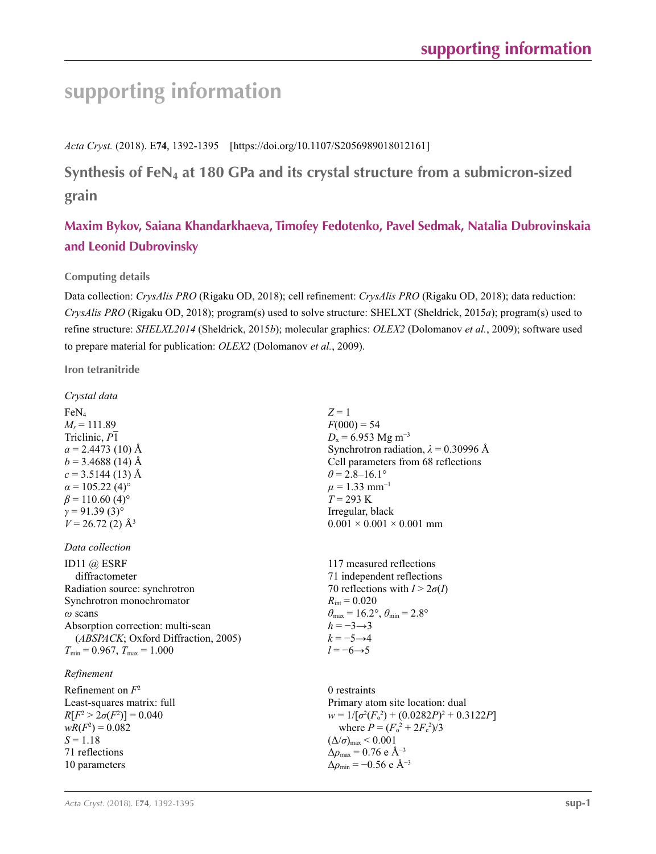# **supporting information**

*Acta Cryst.* (2018). E**74**, 1392-1395 [https://doi.org/10.1107/S2056989018012161]

**Synthesis of FeN4 at 180 GPa and its crystal structure from a submicron-sized grain**

# **Maxim Bykov, Saiana Khandarkhaeva, Timofey Fedotenko, Pavel Sedmak, Natalia Dubrovinskaia and Leonid Dubrovinsky**

# **Computing details**

Data collection: *CrysAlis PRO* (Rigaku OD, 2018); cell refinement: *CrysAlis PRO* (Rigaku OD, 2018); data reduction: *CrysAlis PRO* (Rigaku OD, 2018); program(s) used to solve structure: SHELXT (Sheldrick, 2015*a*); program(s) used to refine structure: *SHELXL2014* (Sheldrick, 2015*b*); molecular graphics: *OLEX2* (Dolomanov *et al.*, 2009); software used to prepare material for publication: *OLEX2* (Dolomanov *et al.*, 2009).

**Iron tetranitride** 

*Crystal data* FeN4  $M_r = 111.89$ Triclinic, *P*1  $a = 2.4473$  (10) Å  $b = 3.4688(14)$  Å  $c = 3.5144(13)$  Å  $\alpha$  = 105.22 (4)<sup>o</sup>  $\beta$  = 110.60 (4)<sup>o</sup>  $γ = 91.39(3)°$  $V = 26.72$  (2)  $\AA$ <sup>3</sup>

*Data collection*

ID11 @ ESRF diffractometer Radiation source: synchrotron Synchrotron monochromator *ω* scans Absorption correction: multi-scan (*ABSPACK*; Oxford Diffraction, 2005)  $T_{\text{min}} = 0.967$ ,  $T_{\text{max}} = 1.000$ 

## *Refinement*

Refinement on *F*<sup>2</sup> Least-squares matrix: full  $R[F^2 > 2\sigma(F^2)] = 0.040$  $wR(F^2) = 0.082$  $S = 1.18$ 71 reflections 10 parameters

*Z* = 1  $F(000) = 54$  $D_x = 6.953$  Mg m<sup>-3</sup> Synchrotron radiation,  $\lambda$  = 0.30996 Å Cell parameters from 68 reflections  $\theta$  = 2.8–16.1°  $\mu = 1.33$  mm<sup>-1</sup>  $T = 293 \text{ K}$ Irregular, black  $0.001 \times 0.001 \times 0.001$  mm

117 measured reflections 71 independent reflections 70 reflections with  $I > 2\sigma(I)$  $R_{\text{int}} = 0.020$  $\theta_{\text{max}} = 16.2^{\circ}, \theta_{\text{min}} = 2.8^{\circ}$  $h = -3 \rightarrow 3$  $k = -5 \rightarrow 4$  $l = -6 \rightarrow 5$ 

0 restraints Primary atom site location: dual  $w = 1/[\sigma^2(F_0^2) + (0.0282P)^2 + 0.3122P]$ where  $P = (F_o^2 + 2F_c^2)/3$  $(\Delta/\sigma)_{\text{max}}$  < 0.001  $\Delta\rho_{\text{max}}$  = 0.76 e Å<sup>-3</sup>  $\Delta\rho_{\rm min} = -0.56$  e Å<sup>-3</sup>